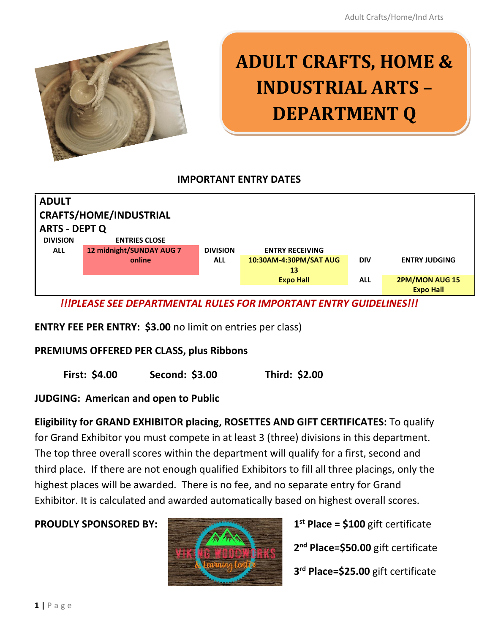

# **ADULT CRAFTS, HOME & INDUSTRIAL ARTS – DEPARTMENT Q**

#### **IMPORTANT ENTRY DATES**



*!!!PLEASE SEE DEPARTMENTAL RULES FOR IMPORTANT ENTRY GUIDELINES!!!*

**ENTRY FEE PER ENTRY: \$3.00** no limit on entries per class)

#### **PREMIUMS OFFERED PER CLASS, plus Ribbons**

**First: \$4.00 Second: \$3.00 Third: \$2.00**

#### **JUDGING: American and open to Public**

**Eligibility for GRAND EXHIBITOR placing, ROSETTES AND GIFT CERTIFICATES:** To qualify for Grand Exhibitor you must compete in at least 3 (three) divisions in this department. The top three overall scores within the department will qualify for a first, second and third place. If there are not enough qualified Exhibitors to fill all three placings, only the highest places will be awarded. There is no fee, and no separate entry for Grand Exhibitor. It is calculated and awarded automatically based on highest overall scores.

#### **PROUDLY SPONSORED BY:**



**st Place = \$100** gift certificate

**2 nd Place=\$50.00** gift certificate

**3 rd Place=\$25.00** gift certificate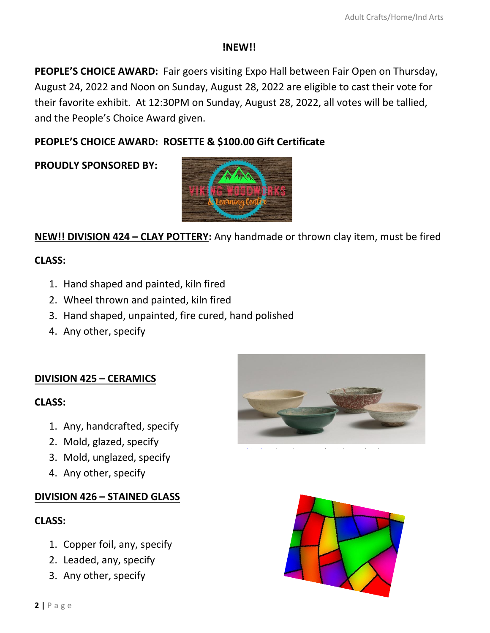#### **!NEW!!**

PEOPLE'S CHOICE AWARD: Fair goers visiting Expo Hall between Fair Open on Thursday, August 24, 2022 and Noon on Sunday, August 28, 2022 are eligible to cast their vote for their favorite exhibit. At 12:30PM on Sunday, August 28, 2022, all votes will be tallied, and the People's Choice Award given.

#### **PEOPLE'S CHOICE AWARD: ROSETTE & \$100.00 Gift Certificate**

**PROUDLY SPONSORED BY:**



**NEW!! DIVISION 424 – CLAY POTTERY:** Any handmade or thrown clay item, must be fired

#### **CLASS:**

- 1. Hand shaped and painted, kiln fired
- 2. Wheel thrown and painted, kiln fired
- 3. Hand shaped, unpainted, fire cured, hand polished
- 4. Any other, specify

#### **DIVISION 425 – CERAMICS**

#### **CLASS:**

- 1. Any, handcrafted, specify
- 2. Mold, glazed, specify
- 3. Mold, unglazed, specify
- 4. Any other, specify

#### **DIVISION 426 – STAINED GLASS**

#### **CLASS:**

- 1. Copper foil, any, specify
- 2. Leaded, any, specify
- 3. Any other, specify



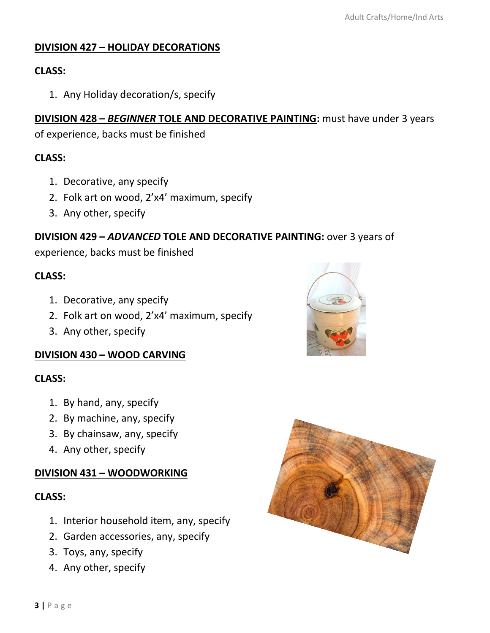#### **DIVISION 427 – HOLIDAY DECORATIONS**

#### **CLASS:**

1. Any Holiday decoration/s, specify

#### **DIVISION 428 - BEGINNER TOLE AND DECORATIVE PAINTING:** must have under 3 years

of experience, backs must be finished

#### **CLASS:**

- 1. Decorative, any specify
- 2. Folk art on wood, 2'x4' maximum, specify
- 3. Any other, specify

#### **DIVISION 429 –** *ADVANCED* **TOLE AND DECORATIVE PAINTING:** over 3 years of

experience, backs must be finished

#### **CLASS:**

- 1. Decorative, any specify
- 2. Folk art on wood, 2'x4' maximum, specify
- 3. Any other, specify

#### **DIVISION 430 – WOOD CARVING**

#### **CLASS:**

- 1. By hand, any, specify
- 2. By machine, any, specify
- 3. By chainsaw, any, specify
- 4. Any other, specify

#### **DIVISION 431 – WOODWORKING**

#### **CLASS:**

- 1. Interior household item, any, specify
- 2. Garden accessories, any, specify
- 3. Toys, any, specify
- 4. Any other, specify



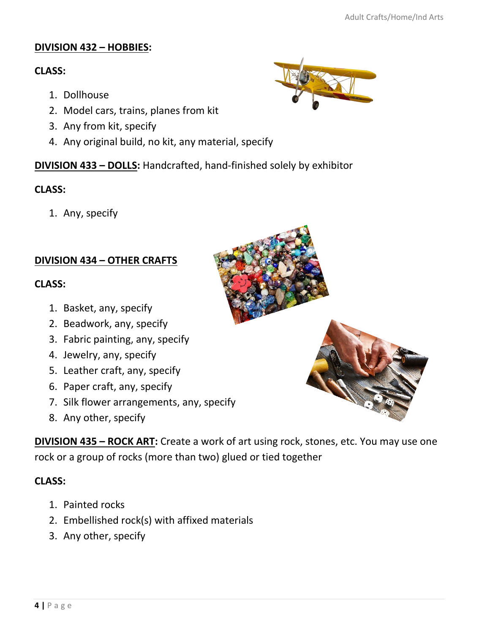## **DIVISION 432 – HOBBIES:**

## **CLASS:**

- 1. Dollhouse
- 2. Model cars, trains, planes from kit
- 3. Any from kit, specify
- 4. Any original build, no kit, any material, specify

# **DIVISION 433 – DOLLS:** Handcrafted, hand-finished solely by exhibitor

## **CLASS:**

1. Any, specify

# **DIVISION 434 – OTHER CRAFTS**

### **CLASS:**

- 1. Basket, any, specify
- 2. Beadwork, any, specify
- 3. Fabric painting, any, specify
- 4. Jewelry, any, specify
- 5. Leather craft, any, specify
- 6. Paper craft, any, specify
- 7. Silk flower arrangements, any, specify
- 8. Any other, specify

**DIVISION 435 - ROCK ART:** Create a work of art using rock, stones, etc. You may use one rock or a group of rocks (more than two) glued or tied together

## **CLASS:**

- 1. Painted rocks
- 2. Embellished rock(s) with affixed materials
- 3. Any other, specify